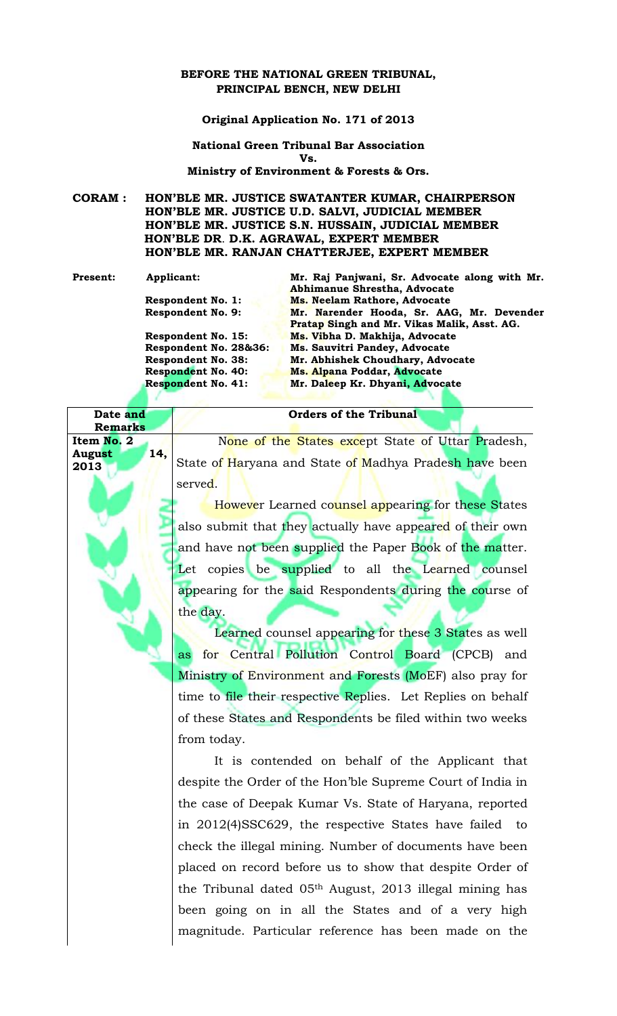## **BEFORE THE NATIONAL GREEN TRIBUNAL, PRINCIPAL BENCH, NEW DELHI**

**Original Application No. 171 of 2013**

**National Green Tribunal Bar Association Vs. Ministry of Environment & Forests & Ors.**

**CORAM : HON'BLE MR. JUSTICE SWATANTER KUMAR, CHAIRPERSON HON'BLE MR. JUSTICE U.D. SALVI, JUDICIAL MEMBER HON'BLE MR. JUSTICE S.N. HUSSAIN, JUDICIAL MEMBER HON'BLE DR**. **D.K. AGRAWAL, EXPERT MEMBER HON'BLE MR. RANJAN CHATTERJEE, EXPERT MEMBER**

| <b>Present:</b> | Applicant:                | Mr. Raj Panjwani, Sr. Advocate along with Mr.<br>Abhimanue Shrestha, Advocate            |
|-----------------|---------------------------|------------------------------------------------------------------------------------------|
|                 | <b>Respondent No. 1:</b>  | <b>Ms. Neelam Rathore, Advocate</b>                                                      |
|                 | <b>Respondent No. 9:</b>  | Mr. Narender Hooda, Sr. AAG, Mr. Devender<br>Pratap Singh and Mr. Vikas Malik, Asst. AG. |
|                 | Respondent No. 15:        | Ms. Vibha D. Makhija, Advocate                                                           |
|                 | Respondent No. 28&36:     | Ms. Sauvitri Pandey, Advocate                                                            |
|                 | <b>Respondent No. 38:</b> | Mr. Abhishek Choudhary, Advocate                                                         |
|                 | <b>Respondent No. 40:</b> | Ms. Alpana Poddar, Advocate                                                              |
|                 | <b>Respondent No. 41:</b> | Mr. Daleep Kr. Dhyani, Advocate                                                          |

**Date and Remarks**

**Item No. 2**

**2013**

**August 14,**  None of the States except State of Uttar Pradesh, State of Haryana and State of Madhya Pradesh have been served.

**Orders of the Tribunal**

However Learned counsel appearing for these States also submit that they actually have appeared of their own and have not been supplied the Paper Book of the matter. Let copies be supplied to all the Learned counsel appearing for the said Respondents during the course of the day.

Learned counsel appearing for these 3 States as well as for Central Pollution Control Board (CPCB) and Ministry of Environment and Forests (MoEF) also pray for time to file their respective Replies. Let Replies on behalf of these States and Respondents be filed within two weeks from today.

It is contended on behalf of the Applicant that despite the Order of the Hon'ble Supreme Court of India in the case of Deepak Kumar Vs. State of Haryana, reported in 2012(4)SSC629, the respective States have failed to check the illegal mining. Number of documents have been placed on record before us to show that despite Order of the Tribunal dated  $05<sup>th</sup>$  August, 2013 illegal mining has been going on in all the States and of a very high magnitude. Particular reference has been made on the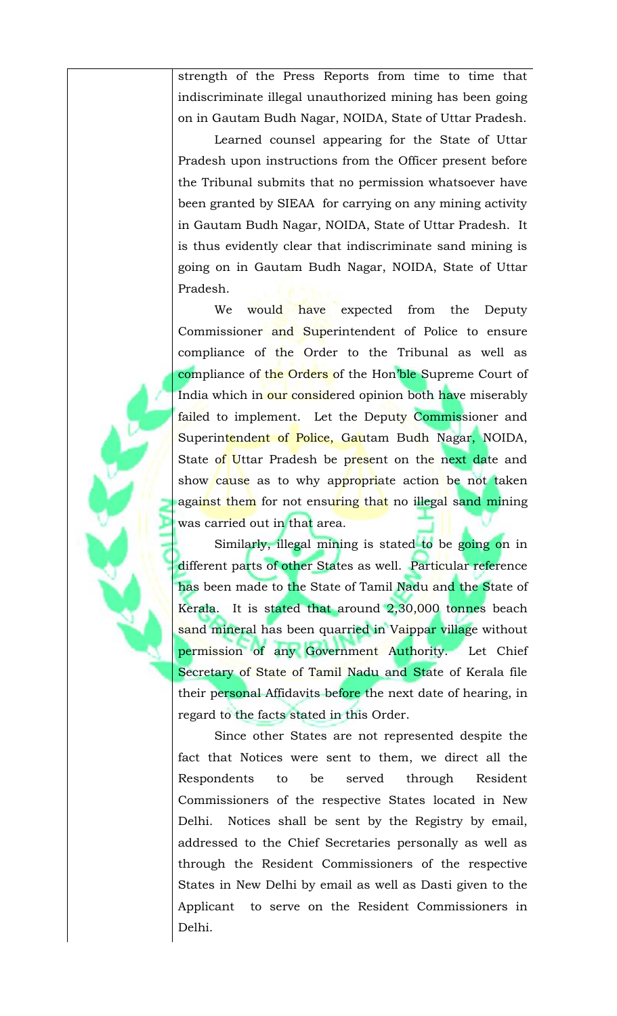strength of the Press Reports from time to time that indiscriminate illegal unauthorized mining has been going on in Gautam Budh Nagar, NOIDA, State of Uttar Pradesh.

Learned counsel appearing for the State of Uttar Pradesh upon instructions from the Officer present before the Tribunal submits that no permission whatsoever have been granted by SIEAA for carrying on any mining activity in Gautam Budh Nagar, NOIDA, State of Uttar Pradesh. It is thus evidently clear that indiscriminate sand mining is going on in Gautam Budh Nagar, NOIDA, State of Uttar Pradesh.

We would have expected from the Deputy Commissioner and Superintendent of Police to ensure compliance of the Order to the Tribunal as well as compliance of the Orders of the Hon'ble Supreme Court of India which in our considered opinion both have miserably failed to implement. Let the Deputy Commissioner and Superintendent of Police, Gautam Budh Nagar, NOIDA, State of Uttar Pradesh be present on the next date and show cause as to why appropriate action be not taken against them for not ensuring that no illegal sand mining was carried out in that area.

Similarly, illegal mining is stated to be going on in different parts of other States as well. Particular reference has been made to the State of Tamil Nadu and the State of Kerala. It is stated that around 2,30,000 tonnes beach sand mineral has been quarried in Vaippar village without permission of any Government Authority. Let Chief Secretary of State of Tamil Nadu and State of Kerala file their personal Affidavits before the next date of hearing, in regard to the facts stated in this Order.

Since other States are not represented despite the fact that Notices were sent to them, we direct all the Respondents to be served through Resident Commissioners of the respective States located in New Delhi. Notices shall be sent by the Registry by email, addressed to the Chief Secretaries personally as well as through the Resident Commissioners of the respective States in New Delhi by email as well as Dasti given to the Applicant to serve on the Resident Commissioners in Delhi.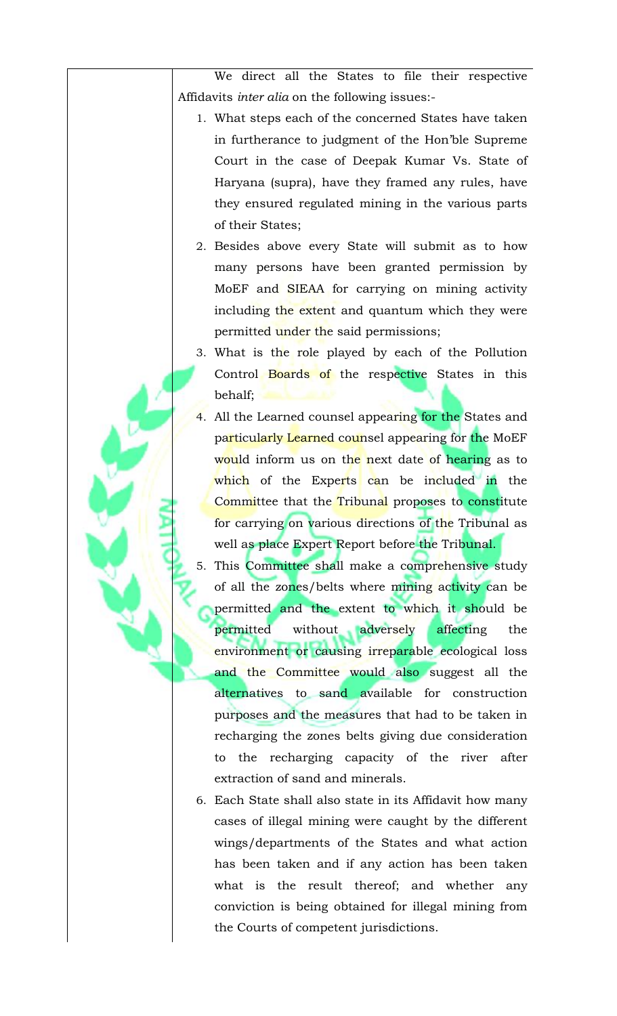We direct all the States to file their respective Affidavits *inter alia* on the following issues:-

- 1. What steps each of the concerned States have taken in furtherance to judgment of the Hon'ble Supreme Court in the case of Deepak Kumar Vs. State of Haryana (supra), have they framed any rules, have they ensured regulated mining in the various parts of their States;
- 2. Besides above every State will submit as to how many persons have been granted permission by MoEF and SIEAA for carrying on mining activity including the extent and quantum which they were permitted under the said permissions;
- 3. What is the role played by each of the Pollution Control Boards of the respective States in this behalf;
- 4. All the Learned counsel appearing for the States and particularly Learned counsel appearing for the MoEF would inform us on the next date of hearing as to which of the Experts can be included in the Committee that the Tribunal proposes to constitute for carrying on various directions of the Tribunal as well as place Expert Report before the Tribunal.
- 5. This Committee shall make a comprehensive study of all the zones/belts where mining activity can be permitted and the extent to which it should be permitted without adversely affecting the environment or causing irreparable ecological loss and the Committee would also suggest all the alternatives to sand available for construction purposes and the measures that had to be taken in recharging the zones belts giving due consideration to the recharging capacity of the river after extraction of sand and minerals.
- 6. Each State shall also state in its Affidavit how many cases of illegal mining were caught by the different wings/departments of the States and what action has been taken and if any action has been taken what is the result thereof; and whether any conviction is being obtained for illegal mining from the Courts of competent jurisdictions.